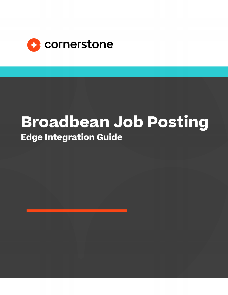

# **Broadbean Job Posting Edge Integration Guide**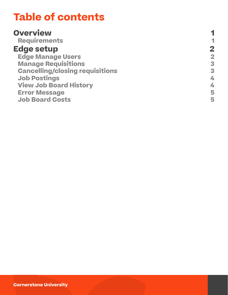# **Table of contents**

#### **[Overview](#page-2-0)**

 **[Requirements](#page-2-0)**

#### **[Edge setup](#page-3-0)**

 **[Edge Manage Users](#page-3-0) [Manage Requisitions](#page-4-0) [Cancelling/closing requisitions](#page-4-0) [Job Postings](#page-5-0) [View Job Board History](#page-5-0) [Error Message](#page-6-0) [Job Board Costs](#page-6-0)**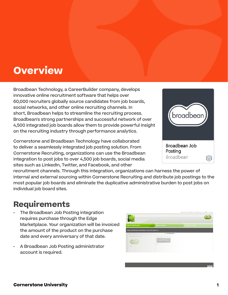# <span id="page-2-0"></span>**Overview**

Broadbean Technology, a CareerBuilder company, develops innovative online recruitment software that helps over 60,000 recruiters globally source candidates from job boards, social networks, and other online recruiting channels. In short, Broadbean helps to streamline the recruiting process. Broadbean's strong partnerships and successful network of over 4,500 integrated job boards allow them to provide powerful insight on the recruiting industry through performance analytics.

Cornerstone and Broadbean Technology have collaborated to deliver a seamlessly integrated job posting solution. From Cornerstone Recruiting, organizations can use the Broadbean integration to post jobs to over 4,500 job boards, social media sites such as LinkedIn, Twitter, and Facebook, and other



recruitment channels. Through this integration, organizations can harness the power of internal and external sourcing within Cornerstone Recruiting and distribute job postings to the most popular job boards and eliminate the duplicative administrative burden to post jobs on individual job board sites.

### **Requirements**

- The Broadbean Job Posting integration requires purchase through the Edge Marketplace. Your organization will be invoiced the amount of the product on the purchase date and every anniversary of that date.
- A Broadbean Job Posting administrator account is required.

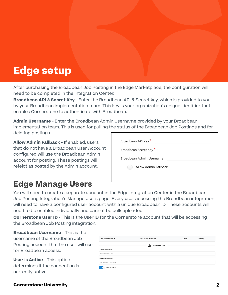# <span id="page-3-0"></span>**Edge setup**

After purchasing the Broadbean Job Posting in the Edge Marketplace, the configuration will need to be completed in the Integration Center.

**Broadbean API** & **Secret Key** - Enter the Broadbean API & Secret key, which is provided to you by your Broadbean implementation team. This key is your organization's unique identifier that enables Cornerstone to authenticate with Broadbean.

**Admin Username** - Enter the Broadbean Admin Username provided by your Broadbean implementation team. This is used for pulling the status of the Broadbean Job Postings and for deleting postings.

**Allow Admin Fallback** - If enabled, users that do not have a Broadbean User Account configured will use the Broadbean Admin account for posting. These postings will refelct as posted by the Admin account.

### **Edge Manage Users**

|                       | Broadbean API Key*       |  |  |
|-----------------------|--------------------------|--|--|
| Broadbean Secret Key* |                          |  |  |
|                       | Broadbean Admin Username |  |  |
|                       | Allow Admin Fallback     |  |  |
|                       |                          |  |  |

You will need to create a separate account in the Edge Integration Center in the Broadbean Job Posting Integration's Manage Users page. Every user accessing the Broadbean integration will need to have a configured user account with a unique Broadbean ID. These accounts will need to be enabled individually and cannot be bulk uploaded.

**Cornerstone User ID** - This is the User ID for the Cornerstone account that will be accessing the Broadbean Job Posting integration.

**Broadbean Username** - This is the username of the Broadbean Job Posting account that the user will use for Broadbean access.

**User is Active** - This option determines if the connection is currently active.

| Cornerstone User ID | Broadbean Username | Active | Modify |
|---------------------|--------------------|--------|--------|
|                     | Add New User       |        |        |
| Cornerstone User ID |                    |        |        |
| Cornerstone User ID |                    |        |        |
| Broadbean Username  |                    |        |        |
| Broadbean Username  |                    |        |        |

#### **Cornerstone University**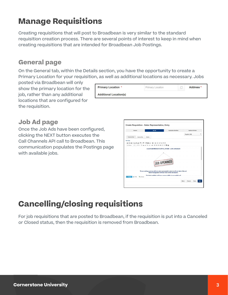### <span id="page-4-0"></span>**Manage Requisitions**

Creating requisitions that will post to Broadbean is very similar to the standard requisition creation process. There are several points of interest to keep in mind when creating requisitions that are intended for Broadbean Job Postings.

#### **General page**

On the General tab, within the Details section, you have the opportunity to create a Primary Location for your requisition, as well as additional locations as necessary. Jobs

posted via Broadbean will only show the primary location for the job, rather than any additional locations that are configured for the requisition.

| <b>Primary Location *</b>     | Primary Location | <b>Address *</b> |
|-------------------------------|------------------|------------------|
| <b>Additional Location(s)</b> |                  |                  |

#### **Job Ad page**

Once the Job Ads have been configured, clicking the NEXT button executes the Call Channels API call to Broadbean. This communication populates the Postings page with available jobs.



## **Cancelling/closing requisitions**

For job requisitions that are posted to Broadbean, if the requisition is put into a Canceled or Closed status, then the requisition is removed from Broadbean.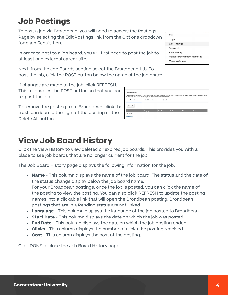## <span id="page-5-0"></span>**Job Postings**

To post a job via Broadbean, you will need to access the Postings Page by selecting the Edit Postings link from the Options dropdown for each Requisition.

In order to post to a job board, you will first need to post the job to at least one external career site.

Next, from the Job Boards section select the Broadbean tab. To post the job, click the POST button below the name of the job board.

If changes are made to the job, click REFRESH. This re-enables the POST button so that you can re-post the job.

To remove the posting from Broadbean, click the trash can icon to the right of the posting or the Delete All button.

## **View Job Board History**

Click the View History to view deleted or expired job boards. This provides you with a place to see job boards that are no longer current for the job.

The Job Board History page displays the following information for the job:

**• Name** - This column displays the name of the job board. The status and the date of the status change display below the job board name. For your Broadbean postings, once the job is posted, you can click the name of the posting to view the posting. You can also click REFRESH to update the posting names into a clickable link that will open the Broadbean posting. Broadbean postings that are in a Pending status are not linked.

Name No Result **View History** 

- **• Language** This column displays the language of the job posted to Broadbean.
- **• Start Date** This column displays the date on which the job was posted.
- **• End Date** This column displays the date on which the job posting ended.
- **• Clicks**  This column displays the number of clicks the posting received.
- **• Cost** This column displays the cost of the posting.

Click DONE to close the Job Board History page.

| FUI THE JUD DUAIU.                                                             |                                                                                                                                                   |
|--------------------------------------------------------------------------------|---------------------------------------------------------------------------------------------------------------------------------------------------|
|                                                                                |                                                                                                                                                   |
|                                                                                |                                                                                                                                                   |
|                                                                                |                                                                                                                                                   |
| on the job boards. Click Refresh to get the latest information for Job Boards. | Post this job to job boards. If there are any changes on the job requisition, re-submit the requisition to save the changes before taking actions |
| <b>Multiposting</b>                                                            | eQuest                                                                                                                                            |
|                                                                                |                                                                                                                                                   |

| Fdit                         |
|------------------------------|
| Copy                         |
| <b>Edit Postings</b>         |
| Snapshot                     |
| <b>View History</b>          |
| Manage Recruitment Marketing |
| <b>Message Users</b>         |